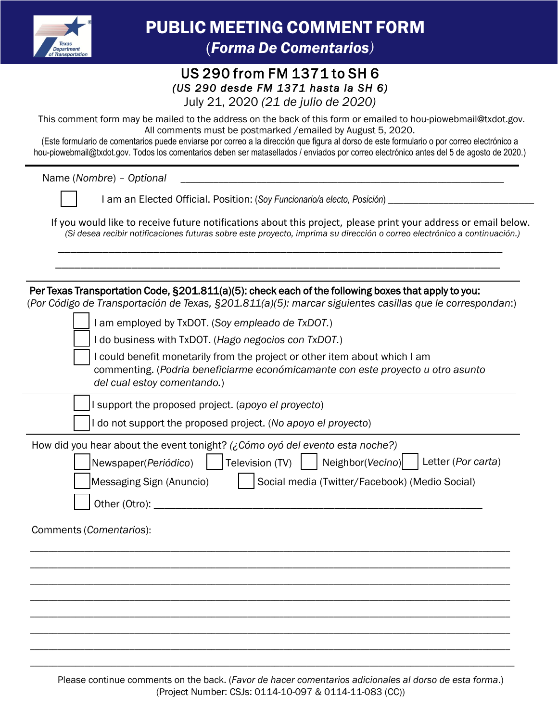

PUBLIC MEETING COMMENT FORM (*Forma De Comentarios)*

## US 290 from FM 1371 to SH 6 *(US 290 desde FM 1371 hasta la SH 6)*  July 21, 2020 *(21 de julio de 2020)*

This comment form may be mailed to the address on the back of this form or emailed to hou-piowebmail@txdot.gov. All comments must be postmarked /emailed by August 5, 2020.

(Este formulario de comentarios puede enviarse por correo a la dirección que figura al dorso de este formulario o por correo electrónico a hou-piowebmail@txdot.gov. Todos los comentarios deben ser matasellados / enviados por correo electrónico antes del 5 de agosto de 2020.)

Name (*Nombre*) – *Optional* \_\_\_\_\_\_\_\_\_\_\_\_\_\_\_\_\_\_\_\_\_\_\_\_\_\_\_\_\_\_\_\_\_\_\_\_\_\_\_\_\_\_\_\_\_\_\_\_\_\_\_\_\_\_\_\_\_\_\_\_\_\_\_\_\_\_\_\_

I am an Elected Official. Position: (*Soy Funcionario/a electo, Posición*) \_\_\_\_\_\_\_\_\_\_\_\_\_\_\_\_\_\_\_\_\_\_\_\_\_\_\_\_\_

If you would like to receive future notifications about this project, please print your address or email below. *(Si desea recibir notificaciones futuras sobre este proyecto, imprima su dirección o correo electrónico a continuación.)*

\_\_\_\_\_\_\_\_\_\_\_\_\_\_\_\_\_\_\_\_\_\_\_\_\_\_\_\_\_\_\_\_\_\_\_\_\_\_\_\_\_\_\_\_\_\_\_\_\_\_\_\_\_\_\_\_\_\_\_\_\_\_\_\_\_\_\_\_\_\_ \_\_\_\_\_\_\_\_\_\_\_\_\_\_\_\_\_\_\_\_\_\_\_\_\_\_\_\_\_\_\_\_\_\_\_\_\_\_\_\_\_\_\_\_\_\_\_\_\_\_\_\_\_\_\_\_\_\_\_\_\_\_\_\_\_\_\_\_\_\_

Per Texas Transportation Code, §201.811(a)(5): check each of the following boxes that apply to you: (*Por Código de Transportación de Texas, §201.811(a)(5): marcar siguientes casillas que le correspondan*:)

I am employed by TxDOT. (*Soy empleado de TxDOT.*)

I do business with TxDOT. (*Hago negocios con TxDOT.*)

I could benefit monetarily from the project or other item about which I am commenting. (*Podria beneficiarme económicamante con este proyecto u otro asunto del cual estoy comentando.*)

I support the proposed project. (*apoyo el proyecto*)

I do not support the proposed project. (*No apoyo el proyecto*)

| How did you hear about the event tonight? (¿Cómo oyó del evento esta noche?) |  |  |  |  |  |
|------------------------------------------------------------------------------|--|--|--|--|--|
| Newspaper(Periódico) Television (TV) Neighbor(Vecino) Letter (Por carta)     |  |  |  |  |  |

| Messaging Sign (Anuncio) | Social media (Twitter/Facebook) (Medio Social) |
|--------------------------|------------------------------------------------|
|                          |                                                |

Other (Otro): \_\_\_\_\_\_\_\_\_\_\_\_\_\_\_\_\_\_\_\_\_\_\_\_\_\_\_\_\_\_\_\_\_\_\_\_\_\_\_\_\_\_\_\_\_\_\_\_\_\_\_\_\_\_\_\_\_\_\_\_

Comments (*Comentarios*):

Please continue comments on the back. (*Favor de hacer comentarios adicionales al dorso de esta forma*.) (Project Number: CSJs: 0114-10-097 & 0114-11-083 (CC))

\_\_\_\_\_\_\_\_\_\_\_\_\_\_\_\_\_\_\_\_\_\_\_\_\_\_\_\_\_\_\_\_\_\_\_\_\_\_\_\_\_\_\_\_\_\_\_\_\_\_\_\_\_\_\_\_\_\_\_\_\_\_\_\_\_\_\_\_\_\_\_\_\_\_\_\_\_\_\_\_\_\_\_\_\_\_\_\_\_\_\_\_\_\_\_\_\_\_\_\_\_\_\_\_\_\_ \_\_\_\_\_\_\_\_\_\_\_\_\_\_\_\_\_\_\_\_\_\_\_\_\_\_\_\_\_\_\_\_\_\_\_\_\_\_\_\_\_\_\_\_\_\_\_\_\_\_\_\_\_\_\_\_\_\_\_\_\_\_\_\_\_\_\_\_\_\_\_\_\_\_\_\_\_\_\_\_\_\_\_\_\_\_\_\_\_\_\_\_\_\_\_\_\_\_\_\_\_\_\_\_\_\_ \_\_\_\_\_\_\_\_\_\_\_\_\_\_\_\_\_\_\_\_\_\_\_\_\_\_\_\_\_\_\_\_\_\_\_\_\_\_\_\_\_\_\_\_\_\_\_\_\_\_\_\_\_\_\_\_\_\_\_\_\_\_\_\_\_\_\_\_\_\_\_\_\_\_\_\_\_\_\_\_\_\_\_\_\_\_\_\_\_\_\_\_\_\_\_\_\_\_\_\_\_\_\_\_\_\_ \_\_\_\_\_\_\_\_\_\_\_\_\_\_\_\_\_\_\_\_\_\_\_\_\_\_\_\_\_\_\_\_\_\_\_\_\_\_\_\_\_\_\_\_\_\_\_\_\_\_\_\_\_\_\_\_\_\_\_\_\_\_\_\_\_\_\_\_\_\_\_\_\_\_\_\_\_\_\_\_\_\_\_\_\_\_\_\_\_\_\_\_\_\_\_\_\_\_\_\_\_\_\_\_\_\_ \_\_\_\_\_\_\_\_\_\_\_\_\_\_\_\_\_\_\_\_\_\_\_\_\_\_\_\_\_\_\_\_\_\_\_\_\_\_\_\_\_\_\_\_\_\_\_\_\_\_\_\_\_\_\_\_\_\_\_\_\_\_\_\_\_\_\_\_\_\_\_\_\_\_\_\_\_\_\_\_\_\_\_\_\_\_\_\_\_\_\_\_\_\_\_\_\_\_\_\_\_\_\_\_\_\_ \_\_\_\_\_\_\_\_\_\_\_\_\_\_\_\_\_\_\_\_\_\_\_\_\_\_\_\_\_\_\_\_\_\_\_\_\_\_\_\_\_\_\_\_\_\_\_\_\_\_\_\_\_\_\_\_\_\_\_\_\_\_\_\_\_\_\_\_\_\_\_\_\_\_\_\_\_\_\_\_\_\_\_\_\_\_\_\_\_\_\_\_\_\_\_\_\_\_\_\_\_\_\_\_\_\_ \_\_\_\_\_\_\_\_\_\_\_\_\_\_\_\_\_\_\_\_\_\_\_\_\_\_\_\_\_\_\_\_\_\_\_\_\_\_\_\_\_\_\_\_\_\_\_\_\_\_\_\_\_\_\_\_\_\_\_\_\_\_\_\_\_\_\_\_\_\_\_\_\_\_\_\_\_\_\_\_\_\_\_\_\_\_\_\_\_\_\_\_\_\_\_\_\_\_\_\_\_\_\_\_\_\_ \_\_\_\_\_\_\_\_\_\_\_\_\_\_\_\_\_\_\_\_\_\_\_\_\_\_\_\_\_\_\_\_\_\_\_\_\_\_\_\_\_\_\_\_\_\_\_\_\_\_\_\_\_\_\_\_\_\_\_\_\_\_\_\_\_\_\_\_\_\_\_\_\_\_\_\_\_\_\_\_\_\_\_\_\_\_\_\_\_\_\_\_\_\_\_\_\_\_\_\_\_\_\_\_\_\_\_